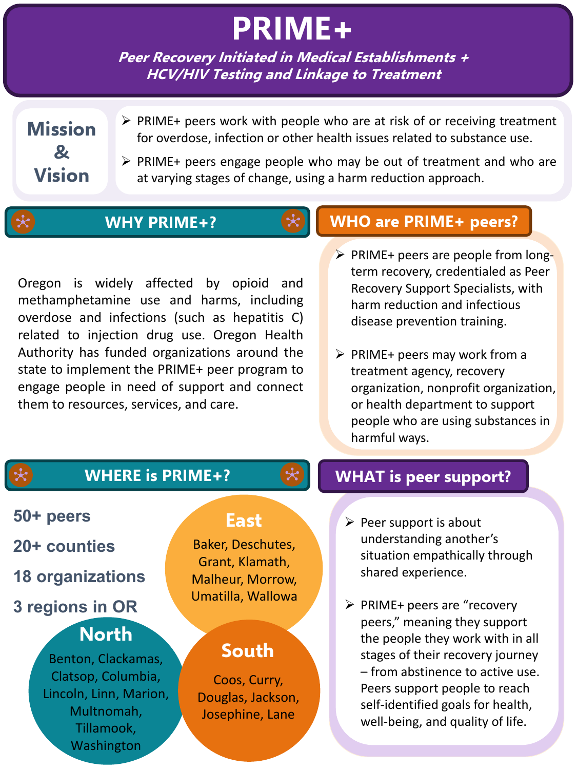# **PRIME+**

**Peer Recovery Initiated in Medical Establishments + HCV/HIV Testing and Linkage to Treatment**

**North**

- ➢ PRIME+ peers work with people who are at risk of or receiving treatment for overdose, infection or other health issues related to substance use.
- ➢ PRIME+ peers engage people who may be out of treatment and who are at varying stages of change, using a harm reduction approach.

**Mission & Vision**

### **20+ counties**

**18 organizations**

**3 regions in OR**

# **WHO are PRIME+ peers?**

- ➢ PRIME+ peers are people from longterm recovery, credentialed as Peer Recovery Support Specialists, with harm reduction and infectious disease prevention training.
- $\triangleright$  PRIME+ peers may work from a treatment agency, recovery organization, nonprofit organization, or health department to support people who are using substances in harmful ways.

peers," meaning they support ➢ PRIME+ peers are "recovery the people they work with in all stages of their recovery journey – from abstinence to active use. Peers support people to reach self-identified goals for health, well-being, and quality of life.



Oregon is widely affected by opioid and methamphetamine use and harms, including overdose and infections (such as hepatitis C) related to injection drug use. Oregon Health Authority has funded organizations around the state to implement the PRIME+ peer program to engage people in need of support and connect them to resources, services, and care.

# **WHY PRIME+?**

# **North**

Benton, Clackamas, Clatsop, Columbia, Lincoln, Linn, Marion, Multnomah, Tillamook, Washington

Baker, Deschutes, Grant, Klamath, Malheur, Morrow, Umatilla, Wallowa

Coos, Curry, Douglas, Jackson, Josephine, Lane

# **South**

situation empathically through shared experience.